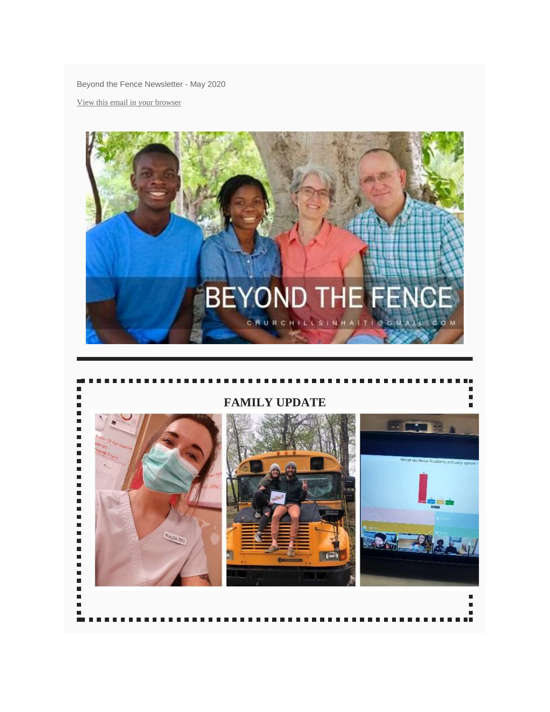Beyond the Fence Newsletter - May 2020

View this email in your [browser](https://mailchi.mp/6a60e9ef365d/beyond-the-fence-newsletter-may-2020?e=460439bb36)



## $\blacksquare$ **FAMILY UPDATE** $\overline{a}$  $\frac{1}{2}$  $-1$  $\overline{a}$ What do Nova Scotlans actual  $\blacksquare$  $\blacksquare$ **Kaylin RN**  $\Box$ i ×,  $\blacksquare$ Ξ  $\blacksquare$ г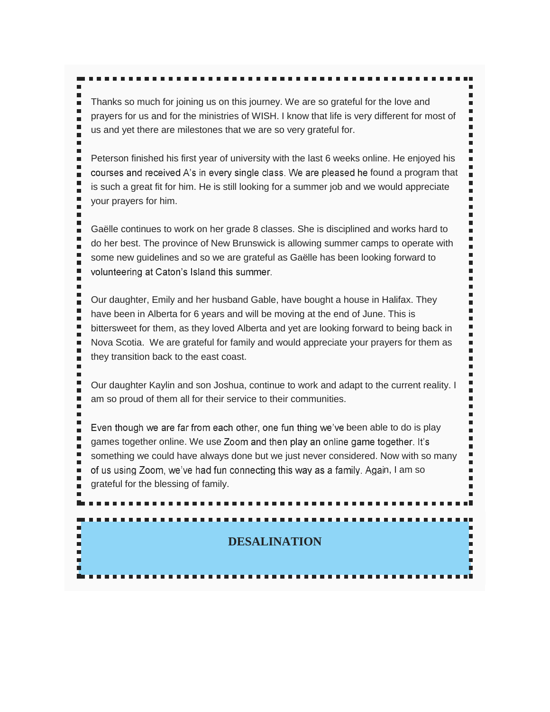Thanks so much for joining us on this journey. We are so grateful for the love and prayers for us and for the ministries of WISH. I know that life is very different for most of us and yet there are milestones that we are so very grateful for.

Ė

п

п

г

 $\blacksquare$ ٠

 $\blacksquare$ 

٠ п

п ٠

п п Ľ

Peterson finished his first year of university with the last 6 weeks online. He enjoyed his courses and received  $A$ 's in every single class. We are pleased he found a program that is such a great fit for him. He is still looking for a summer job and we would appreciate your prayers for him.

Gaëlle continues to work on her grade 8 classes. She is disciplined and works hard to do her best. The province of New Brunswick is allowing summer camps to operate with some new guidelines and so we are grateful as Gaëlle has been looking forward to volunteering at Caton's Island this summer.

Our daughter, Emily and her husband Gable, have bought a house in Halifax. They have been in Alberta for 6 years and will be moving at the end of June. This is bittersweet for them, as they loved Alberta and yet are looking forward to being back in Nova Scotia. We are grateful for family and would appreciate your prayers for them as they transition back to the east coast.

Our daughter Kaylin and son Joshua, continue to work and adapt to the current reality. I am so proud of them all for their service to their communities.

Even though we are far from each other, one fun thing we've been able to do is play games together online. We use Zoom and then play an online game together. It's something we could have always done but we just never considered. Now with so many of us using Zoom, we've had fun connecting this way as a family. Again, I am so grateful for the blessing of family.

# **DESALINATION**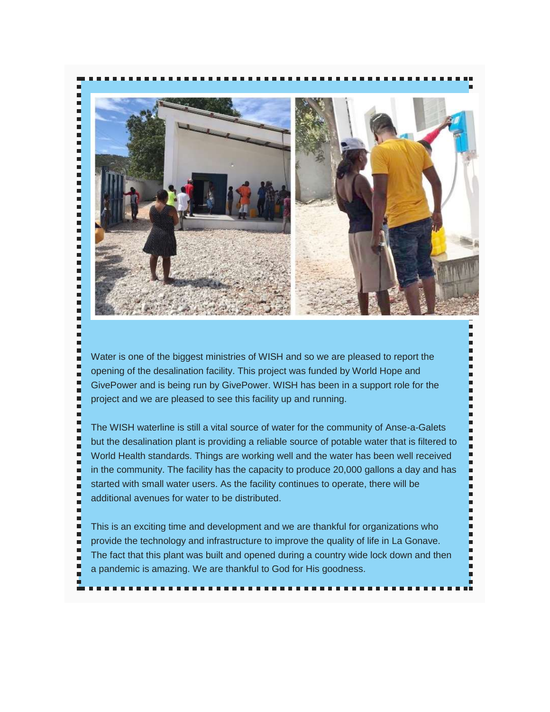

Water is one of the biggest ministries of WISH and so we are pleased to report the opening of the desalination facility. This project was funded by World Hope and GivePower and is being run by GivePower. WISH has been in a support role for the project and we are pleased to see this facility up and running.

Н E

E

Е

E

E F

E

Е E

E

ь

E E

ь

i

E

Ę

ц

ц

E i ц ۹ E

٠

E п

E

E

ц

Ė

The WISH waterline is still a vital source of water for the community of Anse-a-Galets but the desalination plant is providing a reliable source of potable water that is filtered to World Health standards. Things are working well and the water has been well received in the community. The facility has the capacity to produce 20,000 gallons a day and has started with small water users. As the facility continues to operate, there will be additional avenues for water to be distributed.

This is an exciting time and development and we are thankful for organizations who provide the technology and infrastructure to improve the quality of life in La Gonave. The fact that this plant was built and opened during a country wide lock down and then a pandemic is amazing. We are thankful to God for His goodness.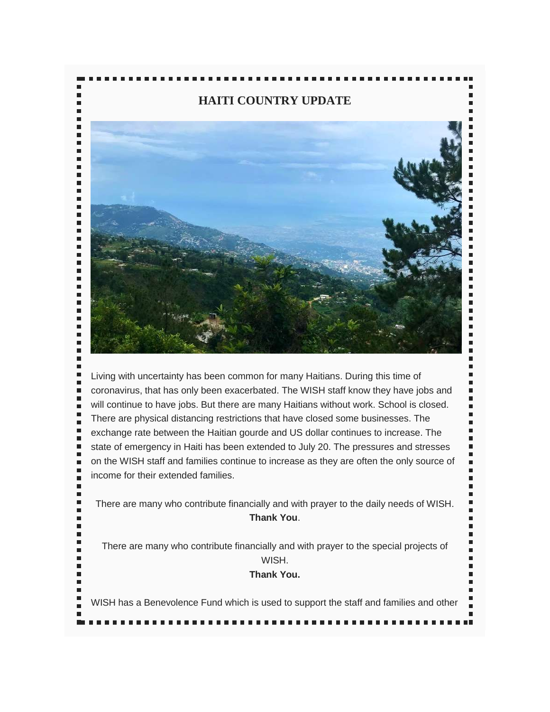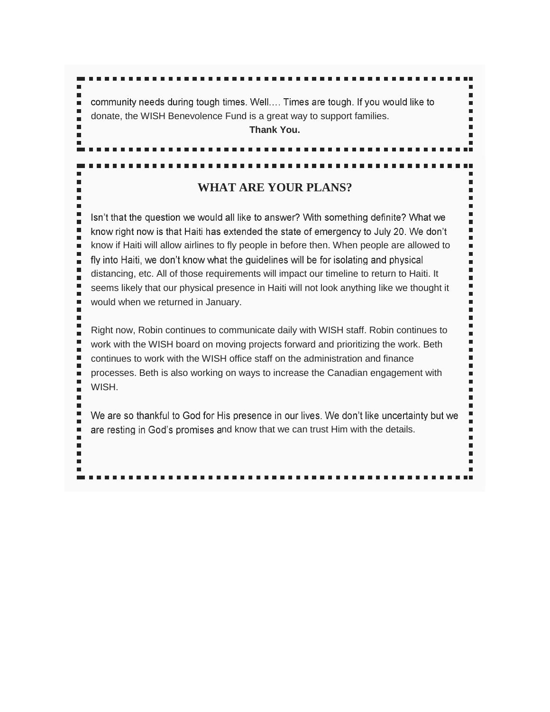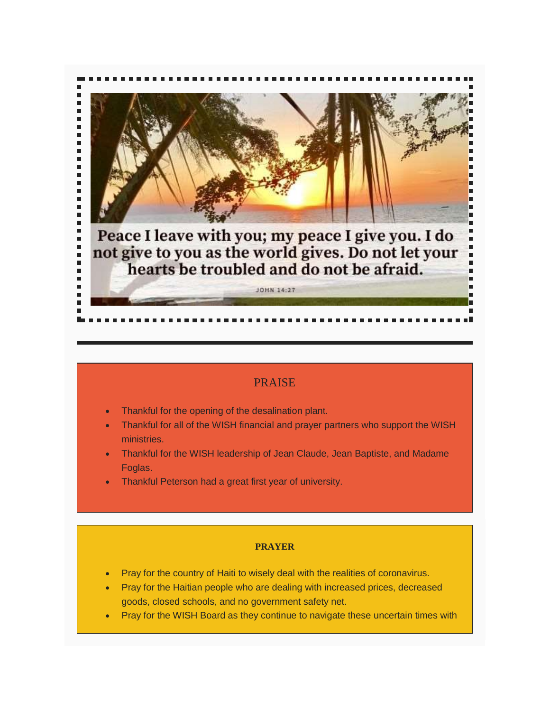

### PRAISE

- Thankful for the opening of the desalination plant.
- Thankful for all of the WISH financial and prayer partners who support the WISH ministries.
- Thankful for the WISH leadership of Jean Claude, Jean Baptiste, and Madame Foglas.
- Thankful Peterson had a great first year of university.

#### **PRAYER**

- Pray for the country of Haiti to wisely deal with the realities of coronavirus.
- Pray for the Haitian people who are dealing with increased prices, decreased goods, closed schools, and no government safety net.
- Pray for the WISH Board as they continue to navigate these uncertain times with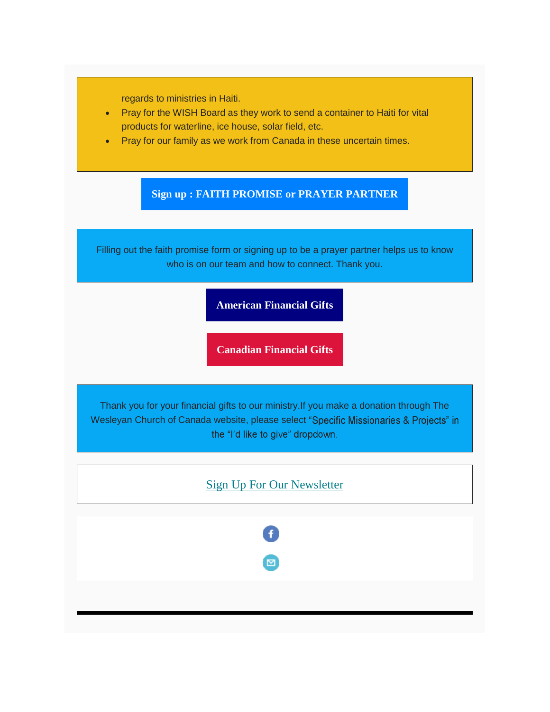regards to ministries in Haiti.

- Pray for the WISH Board as they work to send a container to Haiti for vital products for waterline, ice house, solar field, etc.
- Pray for our family as we work from Canada in these uncertain times.

# **Sign up : FAITH PROMISE or PRAYER [PARTNER](https://churchillsinhaiti.us9.list-manage.com/track/click?u=93dd5b480482fef1b9bc34a3b&id=385a55a94b&e=460439bb36)**

Filling out the faith promise form or signing up to be a prayer partner helps us to know who is on our team and how to connect. Thank you.

### **[American](https://churchillsinhaiti.us9.list-manage.com/track/click?u=93dd5b480482fef1b9bc34a3b&id=e22d740669&e=460439bb36) Financial Gifts**

**[Canadian](https://churchillsinhaiti.us9.list-manage.com/track/click?u=93dd5b480482fef1b9bc34a3b&id=b33a3bd266&e=460439bb36) Financial Gifts**

Thank you for your financial gifts to our ministry.If you make a donation through The Wesleyan Church of Canada website, please select "Specific Missionaries & Projects" in the "I'd like to give" dropdown.

# Sign Up For Our [Newsletter](https://churchillsinhaiti.us9.list-manage.com/track/click?u=93dd5b480482fef1b9bc34a3b&id=ee707c5013&e=460439bb36)

⊠